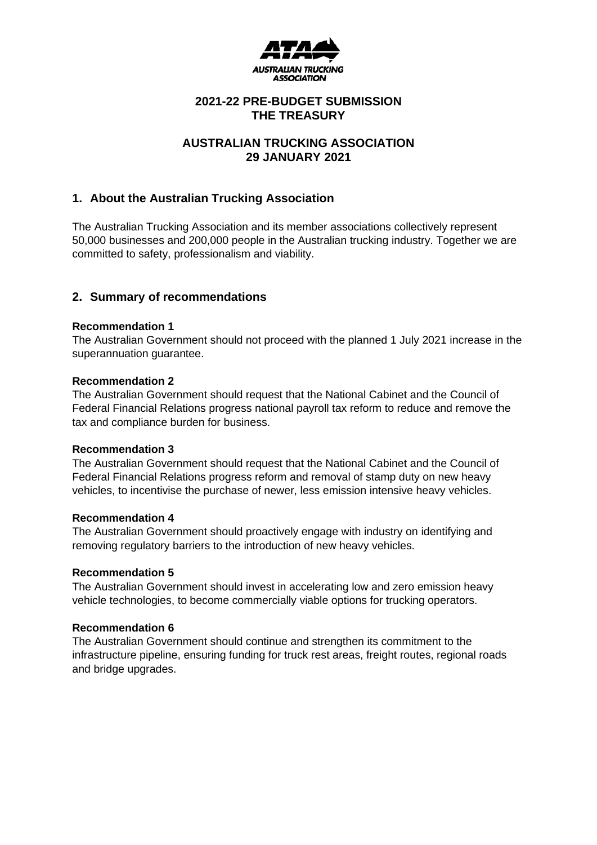

# **2021-22 PRE-BUDGET SUBMISSION THE TREASURY**

# **AUSTRALIAN TRUCKING ASSOCIATION 29 JANUARY 2021**

# **1. About the Australian Trucking Association**

The Australian Trucking Association and its member associations collectively represent 50,000 businesses and 200,000 people in the Australian trucking industry. Together we are committed to safety, professionalism and viability.

# **2. Summary of recommendations**

### **Recommendation 1**

The Australian Government should not proceed with the planned 1 July 2021 increase in the superannuation guarantee.

### **Recommendation 2**

The Australian Government should request that the National Cabinet and the Council of Federal Financial Relations progress national payroll tax reform to reduce and remove the tax and compliance burden for business.

### **Recommendation 3**

The Australian Government should request that the National Cabinet and the Council of Federal Financial Relations progress reform and removal of stamp duty on new heavy vehicles, to incentivise the purchase of newer, less emission intensive heavy vehicles.

### **Recommendation 4**

The Australian Government should proactively engage with industry on identifying and removing regulatory barriers to the introduction of new heavy vehicles.

### **Recommendation 5**

The Australian Government should invest in accelerating low and zero emission heavy vehicle technologies, to become commercially viable options for trucking operators.

### **Recommendation 6**

The Australian Government should continue and strengthen its commitment to the infrastructure pipeline, ensuring funding for truck rest areas, freight routes, regional roads and bridge upgrades.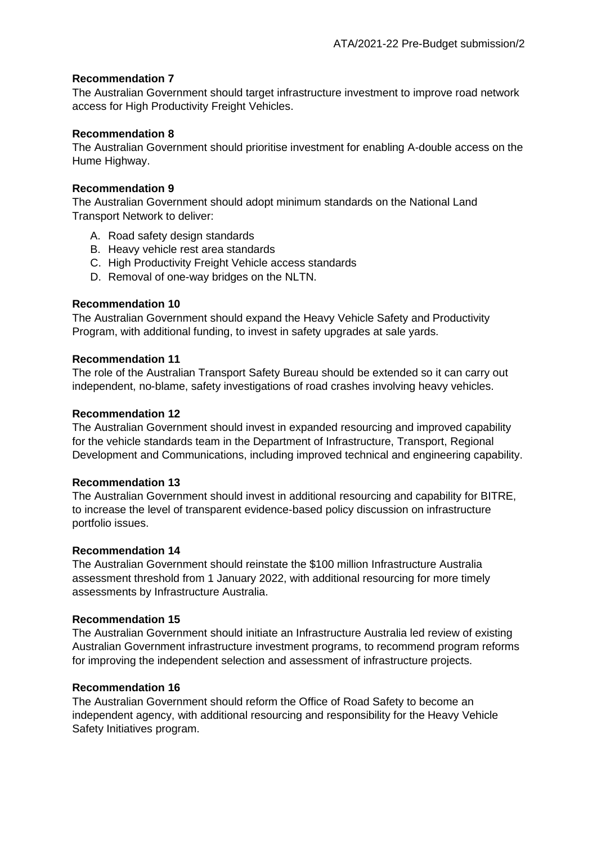# **Recommendation 7**

The Australian Government should target infrastructure investment to improve road network access for High Productivity Freight Vehicles.

## **Recommendation 8**

The Australian Government should prioritise investment for enabling A-double access on the Hume Highway.

## **Recommendation 9**

The Australian Government should adopt minimum standards on the National Land Transport Network to deliver:

- A. Road safety design standards
- B. Heavy vehicle rest area standards
- C. High Productivity Freight Vehicle access standards
- D. Removal of one-way bridges on the NLTN.

# **Recommendation 10**

The Australian Government should expand the Heavy Vehicle Safety and Productivity Program, with additional funding, to invest in safety upgrades at sale yards.

### **Recommendation 11**

The role of the Australian Transport Safety Bureau should be extended so it can carry out independent, no-blame, safety investigations of road crashes involving heavy vehicles.

### **Recommendation 12**

The Australian Government should invest in expanded resourcing and improved capability for the vehicle standards team in the Department of Infrastructure, Transport, Regional Development and Communications, including improved technical and engineering capability.

### **Recommendation 13**

The Australian Government should invest in additional resourcing and capability for BITRE, to increase the level of transparent evidence-based policy discussion on infrastructure portfolio issues.

### **Recommendation 14**

The Australian Government should reinstate the \$100 million Infrastructure Australia assessment threshold from 1 January 2022, with additional resourcing for more timely assessments by Infrastructure Australia.

### **Recommendation 15**

The Australian Government should initiate an Infrastructure Australia led review of existing Australian Government infrastructure investment programs, to recommend program reforms for improving the independent selection and assessment of infrastructure projects.

## **Recommendation 16**

The Australian Government should reform the Office of Road Safety to become an independent agency, with additional resourcing and responsibility for the Heavy Vehicle Safety Initiatives program.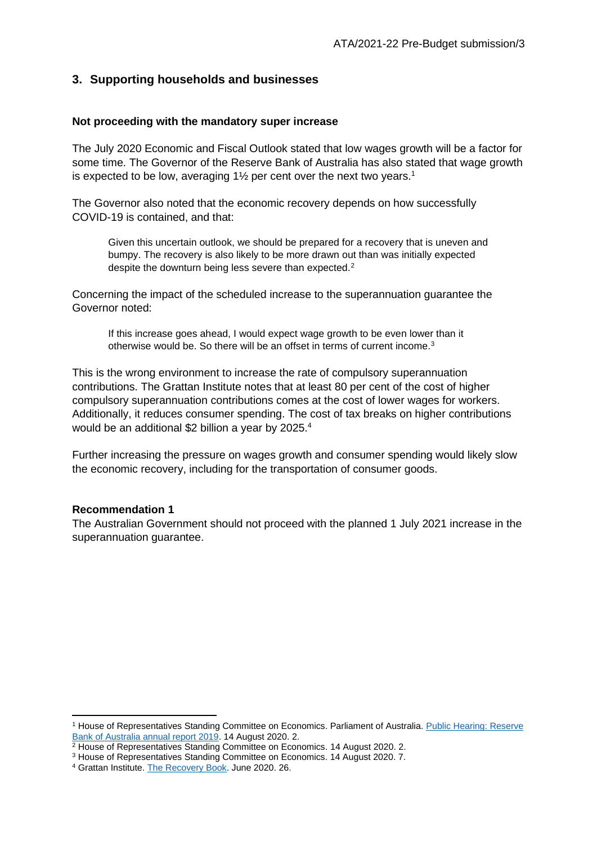# **3. Supporting households and businesses**

#### **Not proceeding with the mandatory super increase**

The July 2020 Economic and Fiscal Outlook stated that low wages growth will be a factor for some time. The Governor of the Reserve Bank of Australia has also stated that wage growth is expected to be low, averaging  $1\frac{1}{2}$  per cent over the next two years.<sup>1</sup>

The Governor also noted that the economic recovery depends on how successfully COVID-19 is contained, and that:

Given this uncertain outlook, we should be prepared for a recovery that is uneven and bumpy. The recovery is also likely to be more drawn out than was initially expected despite the downturn being less severe than expected.<sup>2</sup>

Concerning the impact of the scheduled increase to the superannuation guarantee the Governor noted:

If this increase goes ahead, I would expect wage growth to be even lower than it otherwise would be. So there will be an offset in terms of current income.<sup>3</sup>

This is the wrong environment to increase the rate of compulsory superannuation contributions. The Grattan Institute notes that at least 80 per cent of the cost of higher compulsory superannuation contributions comes at the cost of lower wages for workers. Additionally, it reduces consumer spending. The cost of tax breaks on higher contributions would be an additional \$2 billion a year by 2025.<sup>4</sup>

Further increasing the pressure on wages growth and consumer spending would likely slow the economic recovery, including for the transportation of consumer goods.

#### **Recommendation 1**

The Australian Government should not proceed with the planned 1 July 2021 increase in the superannuation quarantee.

<sup>1</sup> House of Representatives Standing Committee on Economics. Parliament of Australia. [Public Hearing: Reserve](https://parlinfo.aph.gov.au/parlInfo/download/committees/commrep/868db039-2384-4ce9-a502-1354709677d2/toc_pdf/Standing%20Committee%20on%20Economics_2020_08_14_7974.pdf;fileType=application%2Fpdf#search=%22committees/commrep/868db039-2384-4ce9-a502-1354709677d2/0000%22)  [Bank of Australia annual report 2019.](https://parlinfo.aph.gov.au/parlInfo/download/committees/commrep/868db039-2384-4ce9-a502-1354709677d2/toc_pdf/Standing%20Committee%20on%20Economics_2020_08_14_7974.pdf;fileType=application%2Fpdf#search=%22committees/commrep/868db039-2384-4ce9-a502-1354709677d2/0000%22) 14 August 2020. 2.

<sup>&</sup>lt;sup>2</sup> House of Representatives Standing Committee on Economics. 14 August 2020. 2.

<sup>3</sup> House of Representatives Standing Committee on Economics. 14 August 2020. 7.

<sup>4</sup> Grattan Institute. [The Recovery Book.](https://grattan.edu.au/wp-content/uploads/2020/06/Grattan-Institute-Recovery-Book.pdf) June 2020. 26.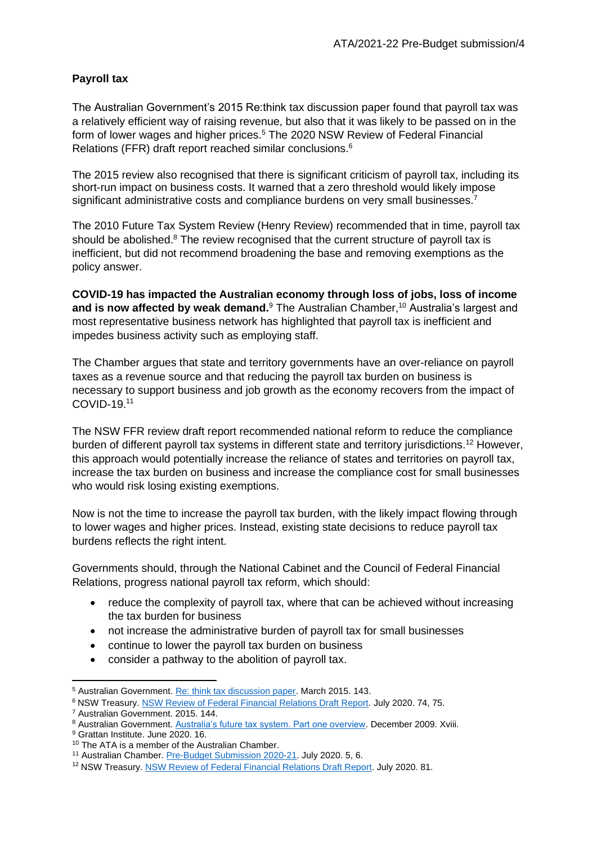# **Payroll tax**

The Australian Government's 2015 Re:think tax discussion paper found that payroll tax was a relatively efficient way of raising revenue, but also that it was likely to be passed on in the form of lower wages and higher prices.<sup>5</sup> The 2020 NSW Review of Federal Financial Relations (FFR) draft report reached similar conclusions.<sup>6</sup>

The 2015 review also recognised that there is significant criticism of payroll tax, including its short-run impact on business costs. It warned that a zero threshold would likely impose significant administrative costs and compliance burdens on very small businesses.<sup>7</sup>

The 2010 Future Tax System Review (Henry Review) recommended that in time, payroll tax should be abolished. $8$  The review recognised that the current structure of payroll tax is inefficient, but did not recommend broadening the base and removing exemptions as the policy answer.

**COVID-19 has impacted the Australian economy through loss of jobs, loss of income**  and is now affected by weak demand.<sup>9</sup> The Australian Chamber,<sup>10</sup> Australia's largest and most representative business network has highlighted that payroll tax is inefficient and impedes business activity such as employing staff.

The Chamber argues that state and territory governments have an over-reliance on payroll taxes as a revenue source and that reducing the payroll tax burden on business is necessary to support business and job growth as the economy recovers from the impact of COVID-19.<sup>11</sup>

The NSW FFR review draft report recommended national reform to reduce the compliance burden of different payroll tax systems in different state and territory jurisdictions.<sup>12</sup> However, this approach would potentially increase the reliance of states and territories on payroll tax, increase the tax burden on business and increase the compliance cost for small businesses who would risk losing existing exemptions.

Now is not the time to increase the payroll tax burden, with the likely impact flowing through to lower wages and higher prices. Instead, existing state decisions to reduce payroll tax burdens reflects the right intent.

Governments should, through the National Cabinet and the Council of Federal Financial Relations, progress national payroll tax reform, which should:

- reduce the complexity of payroll tax, where that can be achieved without increasing the tax burden for business
- not increase the administrative burden of payroll tax for small businesses
- continue to lower the payroll tax burden on business
- consider a pathway to the abolition of payroll tax.

<sup>5</sup> Australian Government. [Re: think tax discussion paper.](https://treasury.gov.au/sites/default/files/2019-03/c2015-rethink-dp-TWP_combined-online.pdf) March 2015. 143.

<sup>&</sup>lt;sup>6</sup> NSW Treasury[. NSW Review of Federal Financial Relations Draft Report.](https://www.treasury.nsw.gov.au/sites/default/files/2020-06/FFR%20Review%20Draft%20Report%20.pdf) July 2020. 74, 75.

<sup>7</sup> Australian Government. 2015. 144.

<sup>8</sup> Australian Government. [Australia's future tax system. Part one overview.](https://treasury.gov.au/sites/default/files/2019-10/afts_final_report_part_1_consolidated.pdf) December 2009. Xviii.

<sup>9</sup> Grattan Institute. June 2020. 16.

<sup>&</sup>lt;sup>10</sup> The ATA is a member of the Australian Chamber.

<sup>11</sup> Australian Chamber[. Pre-Budget Submission 2020-21.](https://www.australianchamber.com.au/wp-content/uploads/2020/07/20200714-ACCI-Pre-Budget-Submission-October-2020-FINAL.pdf) July 2020. 5, 6.

<sup>12</sup> NSW Treasury. [NSW Review of Federal Financial Relations Draft Report.](https://www.treasury.nsw.gov.au/sites/default/files/2020-06/FFR%20Review%20Draft%20Report%20.pdf) July 2020. 81.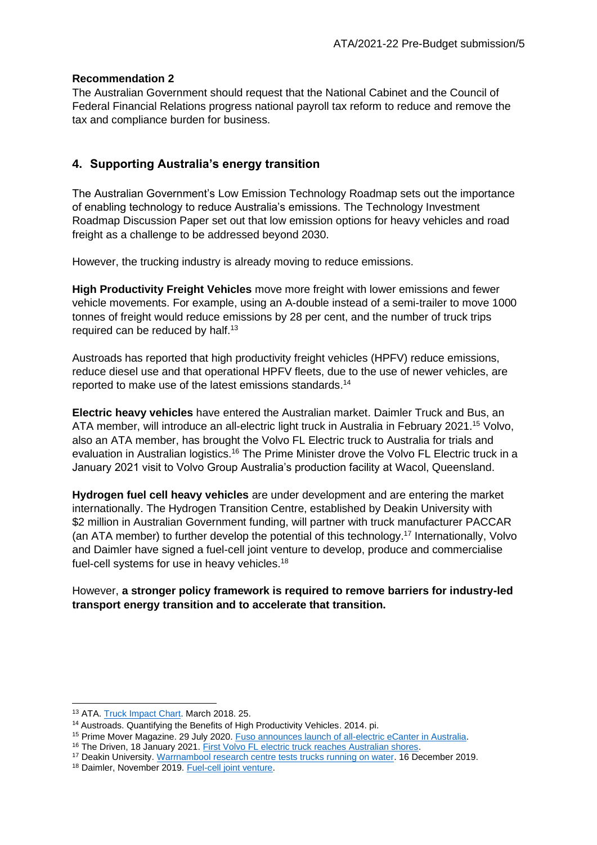# **Recommendation 2**

The Australian Government should request that the National Cabinet and the Council of Federal Financial Relations progress national payroll tax reform to reduce and remove the tax and compliance burden for business.

# **4. Supporting Australia's energy transition**

The Australian Government's Low Emission Technology Roadmap sets out the importance of enabling technology to reduce Australia's emissions. The Technology Investment Roadmap Discussion Paper set out that low emission options for heavy vehicles and road freight as a challenge to be addressed beyond 2030.

However, the trucking industry is already moving to reduce emissions.

**High Productivity Freight Vehicles** move more freight with lower emissions and fewer vehicle movements. For example, using an A-double instead of a semi-trailer to move 1000 tonnes of freight would reduce emissions by 28 per cent, and the number of truck trips required can be reduced by half.<sup>13</sup>

Austroads has reported that high productivity freight vehicles (HPFV) reduce emissions, reduce diesel use and that operational HPFV fleets, due to the use of newer vehicles, are reported to make use of the latest emissions standards. 14

**Electric heavy vehicles** have entered the Australian market. Daimler Truck and Bus, an ATA member, will introduce an all-electric light truck in Australia in February 2021.<sup>15</sup> Volvo, also an ATA member, has brought the Volvo FL Electric truck to Australia for trials and evaluation in Australian logistics.<sup>16</sup> The Prime Minister drove the Volvo FL Electric truck in a January 2021 visit to Volvo Group Australia's production facility at Wacol, Queensland.

**Hydrogen fuel cell heavy vehicles** are under development and are entering the market internationally. The Hydrogen Transition Centre, established by Deakin University with \$2 million in Australian Government funding, will partner with truck manufacturer PACCAR (an ATA member) to further develop the potential of this technology.<sup>17</sup> Internationally, Volvo and Daimler have signed a fuel-cell joint venture to develop, produce and commercialise fuel-cell systems for use in heavy vehicles.<sup>18</sup>

However, **a stronger policy framework is required to remove barriers for industry-led transport energy transition and to accelerate that transition.**

<sup>13</sup> ATA[. Truck Impact Chart.](https://www.truck.net.au/system/files/industry-resources/TAPs%20-%20Truck%20Impact%20Chart%20March%202018.pdf) March 2018. 25.

<sup>&</sup>lt;sup>14</sup> Austroads. Quantifying the Benefits of High Productivity Vehicles. 2014. pi.

<sup>15</sup> Prime Mover Magazine. 29 July 2020[. Fuso announces launch of all-electric eCanter in Australia.](https://www.primemovermag.com.au/news/article/fuso-announces-launch-of-all-electric-ecanter-in-australia)

<sup>&</sup>lt;sup>16</sup> The Driven, 18 January 2021. [First Volvo FL electric truck reaches Australian shores.](https://thedriven.io/2021/01/18/first-volvo-fl-electric-truck-reaches-australian-shores/)

<sup>&</sup>lt;sup>17</sup> Deakin University. [Warrnambool research centre tests trucks running on water.](https://www.deakin.edu.au/about-deakin/media-releases/articles/warrnambool-research-centre-tests-trucks-running-on-water) 16 December 2019.

<sup>18</sup> Daimler, November 2019. [Fuel-cell joint venture.](https://www.daimler.com/company/news/fuel-cell-joint-venture-volvo.html)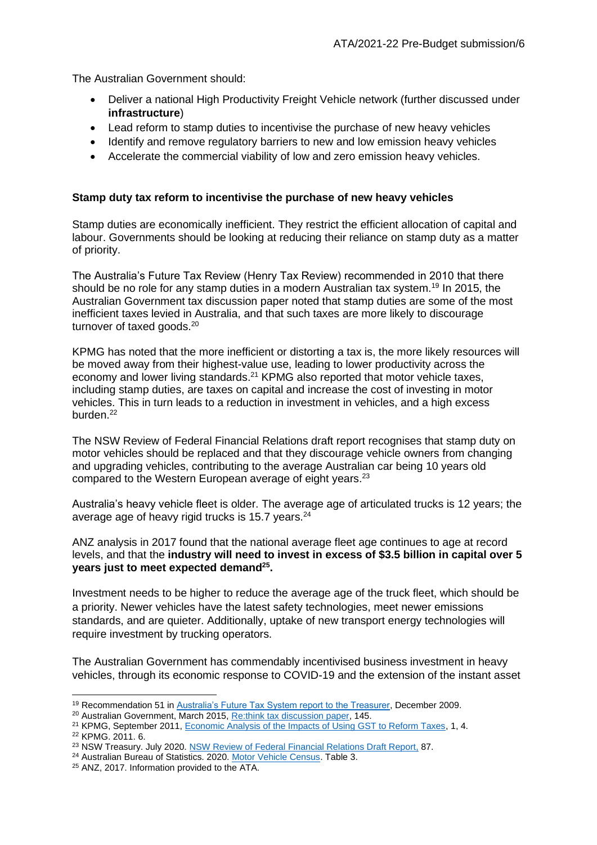The Australian Government should:

- Deliver a national High Productivity Freight Vehicle network (further discussed under **infrastructure**)
- Lead reform to stamp duties to incentivise the purchase of new heavy vehicles
- Identify and remove regulatory barriers to new and low emission heavy vehicles
- Accelerate the commercial viability of low and zero emission heavy vehicles.

# **Stamp duty tax reform to incentivise the purchase of new heavy vehicles**

Stamp duties are economically inefficient. They restrict the efficient allocation of capital and labour. Governments should be looking at reducing their reliance on stamp duty as a matter of priority.

The Australia's Future Tax Review (Henry Tax Review) recommended in 2010 that there should be no role for any stamp duties in a modern Australian tax system.<sup>19</sup> In 2015, the Australian Government tax discussion paper noted that stamp duties are some of the most inefficient taxes levied in Australia, and that such taxes are more likely to discourage turnover of taxed goods.<sup>20</sup>

KPMG has noted that the more inefficient or distorting a tax is, the more likely resources will be moved away from their highest-value use, leading to lower productivity across the economy and lower living standards.<sup>21</sup> KPMG also reported that motor vehicle taxes, including stamp duties, are taxes on capital and increase the cost of investing in motor vehicles. This in turn leads to a reduction in investment in vehicles, and a high excess burden.<sup>22</sup>

The NSW Review of Federal Financial Relations draft report recognises that stamp duty on motor vehicles should be replaced and that they discourage vehicle owners from changing and upgrading vehicles, contributing to the average Australian car being 10 years old compared to the Western European average of eight years.<sup>23</sup>

Australia's heavy vehicle fleet is older. The average age of articulated trucks is 12 years; the average age of heavy rigid trucks is 15.7 years.<sup>24</sup>

ANZ analysis in 2017 found that the national average fleet age continues to age at record levels, and that the **industry will need to invest in excess of \$3.5 billion in capital over 5 years just to meet expected demand<sup>25</sup> .**

Investment needs to be higher to reduce the average age of the truck fleet, which should be a priority. Newer vehicles have the latest safety technologies, meet newer emissions standards, and are quieter. Additionally, uptake of new transport energy technologies will require investment by trucking operators.

The Australian Government has commendably incentivised business investment in heavy vehicles, through its economic response to COVID-19 and the extension of the instant asset

<sup>&</sup>lt;sup>19</sup> Recommendation 51 in [Australia's Future Tax System report to the Treasurer,](https://taxreview.treasury.gov.au/content/FinalReport.aspx?doc=html/publications/papers/Final_Report_Part_1/chapter_12.htm) December 2009.

<sup>20</sup> Australian Government, March 2015[, Re:think tax discussion paper,](http://bettertax.gov.au/files/2015/03/08_GST-and-State-Taxes.pdf) 145.

<sup>&</sup>lt;sup>21</sup> KPMG, September 2011, [Economic Analysis of the Impacts of Using GST to Reform Taxes,](https://www.cpaaustralia.com.au/~/media/corporate/allfiles/document/professional-resources/taxation/kpmg-econtech-final.pdf) 1, 4. <sup>22</sup> KPMG. 2011. 6.

<sup>&</sup>lt;sup>23</sup> NSW Treasury. July 2020[. NSW Review of Federal Financial Relations Draft Report,](https://www.treasury.nsw.gov.au/sites/default/files/2020-06/FFR%20Review%20Draft%20Report%20.pdf) 87.

<sup>&</sup>lt;sup>24</sup> Australian Bureau of Statistics. 2020. [Motor Vehicle Census.](https://www.abs.gov.au/AUSSTATS/abs@.nsf/DetailsPage/9309.031%20Jan%202020?OpenDocument) Table 3.

<sup>25</sup> ANZ, 2017. Information provided to the ATA.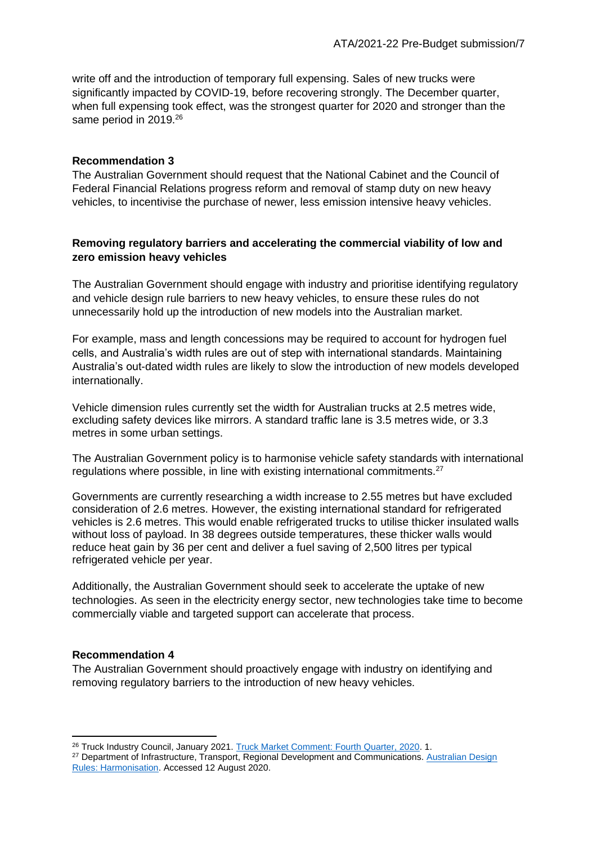write off and the introduction of temporary full expensing. Sales of new trucks were significantly impacted by COVID-19, before recovering strongly. The December quarter, when full expensing took effect, was the strongest quarter for 2020 and stronger than the same period in 2019.<sup>26</sup>

#### **Recommendation 3**

The Australian Government should request that the National Cabinet and the Council of Federal Financial Relations progress reform and removal of stamp duty on new heavy vehicles, to incentivise the purchase of newer, less emission intensive heavy vehicles.

## **Removing regulatory barriers and accelerating the commercial viability of low and zero emission heavy vehicles**

The Australian Government should engage with industry and prioritise identifying regulatory and vehicle design rule barriers to new heavy vehicles, to ensure these rules do not unnecessarily hold up the introduction of new models into the Australian market.

For example, mass and length concessions may be required to account for hydrogen fuel cells, and Australia's width rules are out of step with international standards. Maintaining Australia's out-dated width rules are likely to slow the introduction of new models developed internationally.

Vehicle dimension rules currently set the width for Australian trucks at 2.5 metres wide, excluding safety devices like mirrors. A standard traffic lane is 3.5 metres wide, or 3.3 metres in some urban settings.

The Australian Government policy is to harmonise vehicle safety standards with international regulations where possible, in line with existing international commitments.<sup>27</sup>

Governments are currently researching a width increase to 2.55 metres but have excluded consideration of 2.6 metres. However, the existing international standard for refrigerated vehicles is 2.6 metres. This would enable refrigerated trucks to utilise thicker insulated walls without loss of payload. In 38 degrees outside temperatures, these thicker walls would reduce heat gain by 36 per cent and deliver a fuel saving of 2,500 litres per typical refrigerated vehicle per year.

Additionally, the Australian Government should seek to accelerate the uptake of new technologies. As seen in the electricity energy sector, new technologies take time to become commercially viable and targeted support can accelerate that process.

#### **Recommendation 4**

The Australian Government should proactively engage with industry on identifying and removing regulatory barriers to the introduction of new heavy vehicles.

<sup>&</sup>lt;sup>26</sup> Truck Industry Council, January 2021. [Truck Market Comment: Fourth Quarter, 2020.](https://assets.website-files.com/5cbe46bce3c2320cf45d2b62/5ffbeb57a3cd643b425d984f_T-Mark_Q4Comment(December)2020.pdf) 1.

<sup>&</sup>lt;sup>27</sup> Department of Infrastructure, Transport, Regional Development and Communications. Australian Design [Rules: Harmonisation.](https://www.infrastructure.gov.au/vehicles/design/) Accessed 12 August 2020.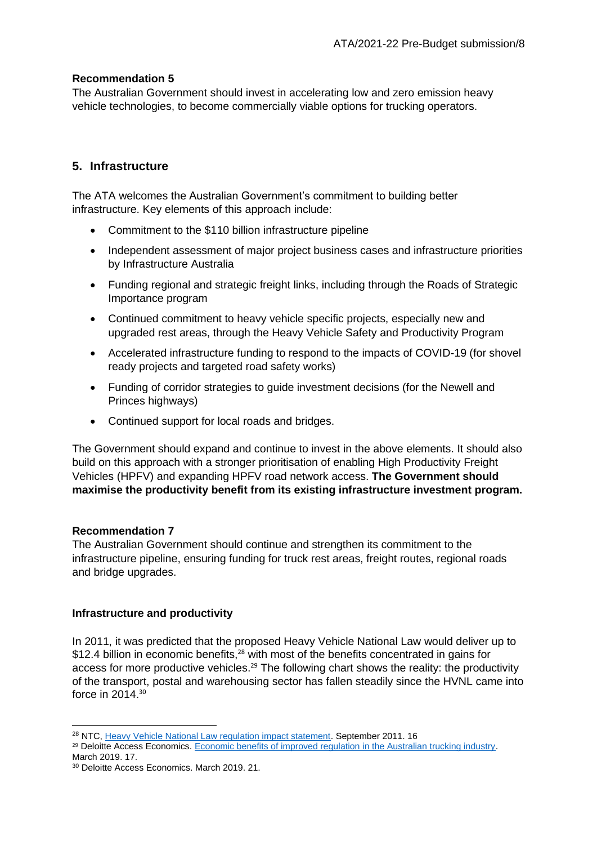# **Recommendation 5**

The Australian Government should invest in accelerating low and zero emission heavy vehicle technologies, to become commercially viable options for trucking operators.

# **5. Infrastructure**

The ATA welcomes the Australian Government's commitment to building better infrastructure. Key elements of this approach include:

- Commitment to the \$110 billion infrastructure pipeline
- Independent assessment of major project business cases and infrastructure priorities by Infrastructure Australia
- Funding regional and strategic freight links, including through the Roads of Strategic Importance program
- Continued commitment to heavy vehicle specific projects, especially new and upgraded rest areas, through the Heavy Vehicle Safety and Productivity Program
- Accelerated infrastructure funding to respond to the impacts of COVID-19 (for shovel ready projects and targeted road safety works)
- Funding of corridor strategies to guide investment decisions (for the Newell and Princes highways)
- Continued support for local roads and bridges.

The Government should expand and continue to invest in the above elements. It should also build on this approach with a stronger prioritisation of enabling High Productivity Freight Vehicles (HPFV) and expanding HPFV road network access. **The Government should maximise the productivity benefit from its existing infrastructure investment program.**

### **Recommendation 7**

The Australian Government should continue and strengthen its commitment to the infrastructure pipeline, ensuring funding for truck rest areas, freight routes, regional roads and bridge upgrades.

### **Infrastructure and productivity**

In 2011, it was predicted that the proposed Heavy Vehicle National Law would deliver up to \$12.4 billion in economic benefits,<sup>28</sup> with most of the benefits concentrated in gains for access for more productive vehicles.<sup>29</sup> The following chart shows the reality: the productivity of the transport, postal and warehousing sector has fallen steadily since the HVNL came into force in 2014.<sup>30</sup>

<sup>&</sup>lt;sup>28</sup> NTC[, Heavy Vehicle National Law regulation impact statement.](https://www.ntc.gov.au/sites/default/files/assets/files/HVNL-RIS-Sept-2011.pdf) September 2011, 16

<sup>&</sup>lt;sup>29</sup> Deloitte Access Economics. Economic benefits of improved regulation in the Australian trucking industry. March 2019. 17.

<sup>30</sup> Deloitte Access Economics. March 2019. 21.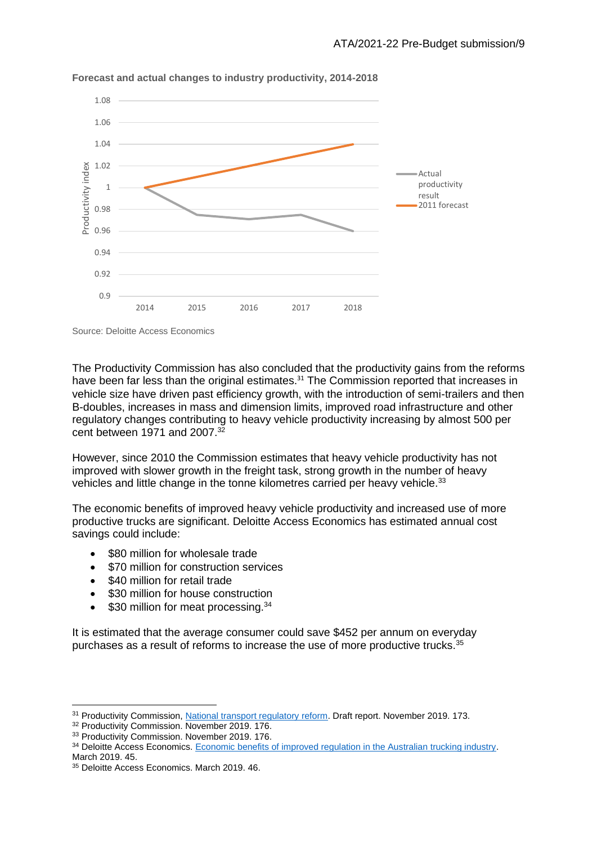

**Forecast and actual changes to industry productivity, 2014-2018**

Source: Deloitte Access Economics

The Productivity Commission has also concluded that the productivity gains from the reforms have been far less than the original estimates.<sup>31</sup> The Commission reported that increases in vehicle size have driven past efficiency growth, with the introduction of semi-trailers and then B-doubles, increases in mass and dimension limits, improved road infrastructure and other regulatory changes contributing to heavy vehicle productivity increasing by almost 500 per cent between 1971 and 2007.<sup>32</sup>

However, since 2010 the Commission estimates that heavy vehicle productivity has not improved with slower growth in the freight task, strong growth in the number of heavy vehicles and little change in the tonne kilometres carried per heavy vehicle.<sup>33</sup>

The economic benefits of improved heavy vehicle productivity and increased use of more productive trucks are significant. Deloitte Access Economics has estimated annual cost savings could include:

- \$80 million for wholesale trade
- \$70 million for construction services
- \$40 million for retail trade
- \$30 million for house construction
- \$30 million for meat processing.<sup>34</sup>

It is estimated that the average consumer could save \$452 per annum on everyday purchases as a result of reforms to increase the use of more productive trucks.<sup>35</sup>

<sup>31</sup> Productivity Commission[, National transport regulatory reform.](https://www.pc.gov.au/inquiries/current/transport/draft/transport-draft.pdf) Draft report. November 2019. 173.

<sup>&</sup>lt;sup>32</sup> Productivity Commission. November 2019. 176.

<sup>&</sup>lt;sup>33</sup> Productivity Commission. November 2019. 176.

<sup>&</sup>lt;sup>34</sup> Deloitte Access Economics[. Economic benefits of improved regulation in the Australian trucking industry.](http://www.truck.net.au/sites/default/files/submissions/DAE%20Economic%20benefits%20of%20improved%20regulation%20in%20the%20Australian%20trucking%20industry%20March%202019%20Final.pdf) March 2019. 45.

<sup>&</sup>lt;sup>35</sup> Deloitte Access Economics. March 2019. 46.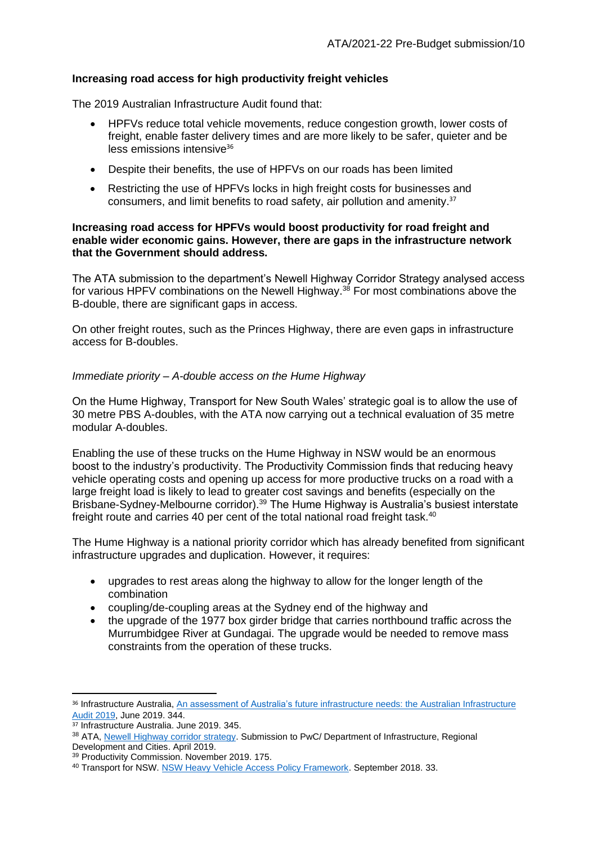# **Increasing road access for high productivity freight vehicles**

The 2019 Australian Infrastructure Audit found that:

- HPFVs reduce total vehicle movements, reduce congestion growth, lower costs of freight, enable faster delivery times and are more likely to be safer, quieter and be  $less$  emissions intensive<sup>36</sup>
- Despite their benefits, the use of HPFVs on our roads has been limited
- Restricting the use of HPFVs locks in high freight costs for businesses and consumers, and limit benefits to road safety, air pollution and amenity. 37

#### **Increasing road access for HPFVs would boost productivity for road freight and enable wider economic gains. However, there are gaps in the infrastructure network that the Government should address.**

The ATA submission to the department's Newell Highway Corridor Strategy analysed access for various HPFV combinations on the Newell Highway.<sup>38</sup> For most combinations above the B-double, there are significant gaps in access.

On other freight routes, such as the Princes Highway, there are even gaps in infrastructure access for B-doubles.

# *Immediate priority – A-double access on the Hume Highway*

On the Hume Highway, Transport for New South Wales' strategic goal is to allow the use of 30 metre PBS A-doubles, with the ATA now carrying out a technical evaluation of 35 metre modular A-doubles.

Enabling the use of these trucks on the Hume Highway in NSW would be an enormous boost to the industry's productivity. The Productivity Commission finds that reducing heavy vehicle operating costs and opening up access for more productive trucks on a road with a large freight load is likely to lead to greater cost savings and benefits (especially on the Brisbane-Sydney-Melbourne corridor).<sup>39</sup> The Hume Highway is Australia's busiest interstate freight route and carries 40 per cent of the total national road freight task.<sup>40</sup>

The Hume Highway is a national priority corridor which has already benefited from significant infrastructure upgrades and duplication. However, it requires:

- upgrades to rest areas along the highway to allow for the longer length of the combination
- coupling/de-coupling areas at the Sydney end of the highway and
- the upgrade of the 1977 box girder bridge that carries northbound traffic across the Murrumbidgee River at Gundagai. The upgrade would be needed to remove mass constraints from the operation of these trucks.

<sup>36</sup> Infrastructure Australia, [An assessment of Australia's future infrastructure needs: the Australian Infrastructure](https://www.infrastructureaustralia.gov.au/publications/australian-infrastructure-audit-2019)  [Audit 2019,](https://www.infrastructureaustralia.gov.au/publications/australian-infrastructure-audit-2019) June 2019. 344.

<sup>37</sup> Infrastructure Australia. June 2019. 345.

<sup>38</sup> ATA[, Newell Highway corridor strategy.](http://www.truck.net.au/advocacy/submissions/newell-princes-highway-corridor-strategies) Submission to PwC/ Department of Infrastructure, Regional Development and Cities. April 2019.

<sup>39</sup> Productivity Commission. November 2019. 175.

<sup>&</sup>lt;sup>40</sup> Transport for NSW. [NSW Heavy Vehicle Access Policy Framework.](https://www.transport.nsw.gov.au/operations/freight-hub/heavy-vehicle-access-policy-framework) September 2018. 33.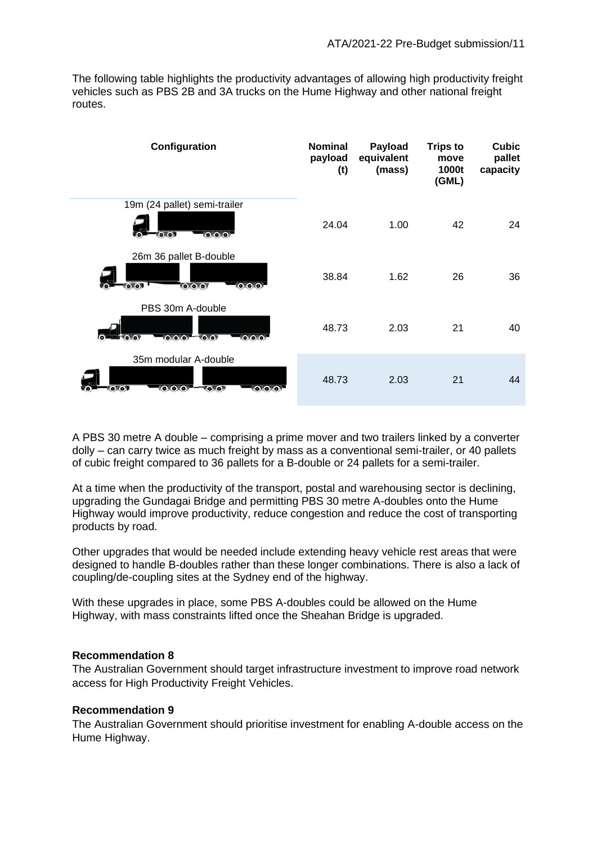The following table highlights the productivity advantages of allowing high productivity freight vehicles such as PBS 2B and 3A trucks on the Hume Highway and other national freight routes.

| Configuration                                                                                | <b>Nominal</b><br>payload<br>(t) | Payload<br>equivalent<br>(mass) | <b>Trips to</b><br>move<br>1000t<br>(GML) | <b>Cubic</b><br>pallet<br>capacity |
|----------------------------------------------------------------------------------------------|----------------------------------|---------------------------------|-------------------------------------------|------------------------------------|
| 19m (24 pallet) semi-trailer<br>0.0.0<br><b>TO TOP</b>                                       | 24.04                            | 1.00                            | 42                                        | 24                                 |
| 26m 36 pallet B-double<br>0.0.0<br><b>OOOO!</b><br><b>ONOT</b>                               | 38.84                            | 1.62                            | 26                                        | 36                                 |
| PBS 30m A-double<br><b>CLOLO T</b><br><b>LOLOLOF</b><br><b>TOXOF</b><br><b>Live You</b><br>Ю | 48.73                            | 2.03                            | 21                                        | 40                                 |
| 35m modular A-double<br><b>CAOKOL</b><br>VOXOY<br><b>TOXOY</b><br><b>YO YOYOY</b>            | 48.73                            | 2.03                            | 21                                        | 44                                 |

A PBS 30 metre A double – comprising a prime mover and two trailers linked by a converter dolly – can carry twice as much freight by mass as a conventional semi-trailer, or 40 pallets of cubic freight compared to 36 pallets for a B-double or 24 pallets for a semi-trailer.

At a time when the productivity of the transport, postal and warehousing sector is declining, upgrading the Gundagai Bridge and permitting PBS 30 metre A-doubles onto the Hume Highway would improve productivity, reduce congestion and reduce the cost of transporting products by road.

Other upgrades that would be needed include extending heavy vehicle rest areas that were designed to handle B-doubles rather than these longer combinations. There is also a lack of coupling/de-coupling sites at the Sydney end of the highway.

With these upgrades in place, some PBS A-doubles could be allowed on the Hume Highway, with mass constraints lifted once the Sheahan Bridge is upgraded.

### **Recommendation 8**

The Australian Government should target infrastructure investment to improve road network access for High Productivity Freight Vehicles.

### **Recommendation 9**

The Australian Government should prioritise investment for enabling A-double access on the Hume Highway.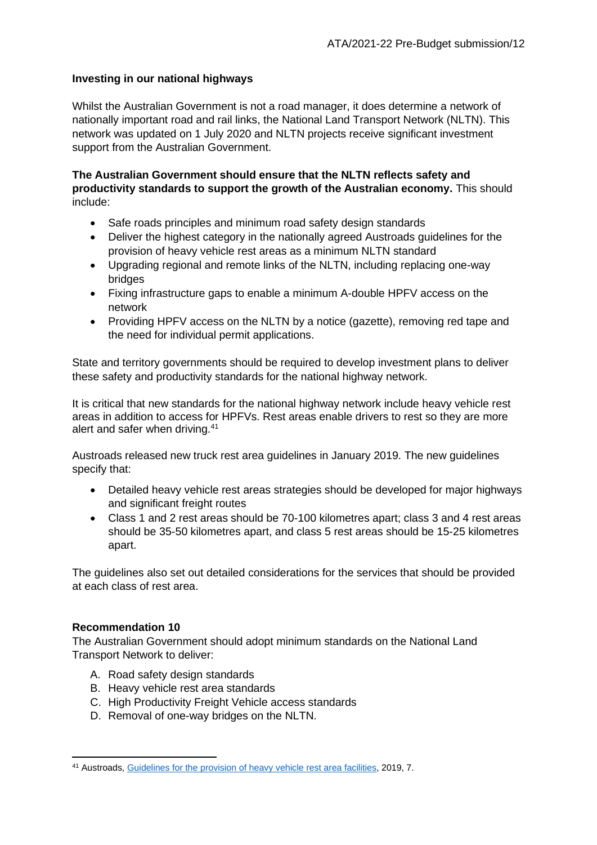# **Investing in our national highways**

Whilst the Australian Government is not a road manager, it does determine a network of nationally important road and rail links, the National Land Transport Network (NLTN). This network was updated on 1 July 2020 and NLTN projects receive significant investment support from the Australian Government.

**The Australian Government should ensure that the NLTN reflects safety and productivity standards to support the growth of the Australian economy.** This should include:

- Safe roads principles and minimum road safety design standards
- Deliver the highest category in the nationally agreed Austroads guidelines for the provision of heavy vehicle rest areas as a minimum NLTN standard
- Upgrading regional and remote links of the NLTN, including replacing one-way bridges
- Fixing infrastructure gaps to enable a minimum A-double HPFV access on the network
- Providing HPFV access on the NLTN by a notice (gazette), removing red tape and the need for individual permit applications.

State and territory governments should be required to develop investment plans to deliver these safety and productivity standards for the national highway network.

It is critical that new standards for the national highway network include heavy vehicle rest areas in addition to access for HPFVs. Rest areas enable drivers to rest so they are more alert and safer when driving.<sup>41</sup>

Austroads released new truck rest area guidelines in January 2019. The new guidelines specify that:

- Detailed heavy vehicle rest areas strategies should be developed for major highways and significant freight routes
- Class 1 and 2 rest areas should be 70-100 kilometres apart; class 3 and 4 rest areas should be 35-50 kilometres apart, and class 5 rest areas should be 15-25 kilometres apart.

The guidelines also set out detailed considerations for the services that should be provided at each class of rest area.

### **Recommendation 10**

The Australian Government should adopt minimum standards on the National Land Transport Network to deliver:

- A. Road safety design standards
- B. Heavy vehicle rest area standards
- C. High Productivity Freight Vehicle access standards
- D. Removal of one-way bridges on the NLTN.

<sup>41</sup> Austroads[, Guidelines for the provision of heavy vehicle rest area facilities,](https://austroads.com.au/publications/freight/ap-r591-19) 2019, 7.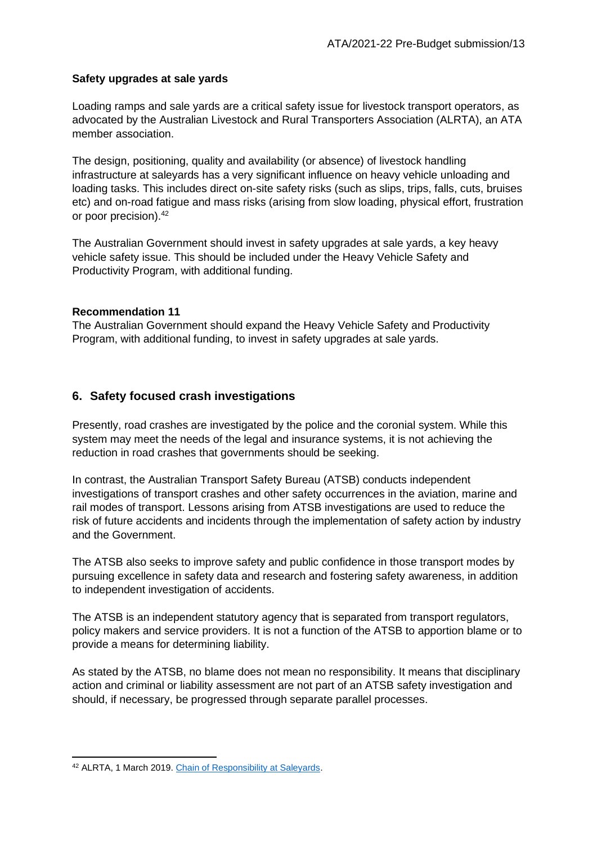# **Safety upgrades at sale yards**

Loading ramps and sale yards are a critical safety issue for livestock transport operators, as advocated by the Australian Livestock and Rural Transporters Association (ALRTA), an ATA member association.

The design, positioning, quality and availability (or absence) of livestock handling infrastructure at saleyards has a very significant influence on heavy vehicle unloading and loading tasks. This includes direct on-site safety risks (such as slips, trips, falls, cuts, bruises etc) and on-road fatigue and mass risks (arising from slow loading, physical effort, frustration or poor precision).<sup>42</sup>

The Australian Government should invest in safety upgrades at sale yards, a key heavy vehicle safety issue. This should be included under the Heavy Vehicle Safety and Productivity Program, with additional funding.

# **Recommendation 11**

The Australian Government should expand the Heavy Vehicle Safety and Productivity Program, with additional funding, to invest in safety upgrades at sale yards.

# **6. Safety focused crash investigations**

Presently, road crashes are investigated by the police and the coronial system. While this system may meet the needs of the legal and insurance systems, it is not achieving the reduction in road crashes that governments should be seeking.

In contrast, the Australian Transport Safety Bureau (ATSB) conducts independent investigations of transport crashes and other safety occurrences in the aviation, marine and rail modes of transport. Lessons arising from ATSB investigations are used to reduce the risk of future accidents and incidents through the implementation of safety action by industry and the Government.

The ATSB also seeks to improve safety and public confidence in those transport modes by pursuing excellence in safety data and research and fostering safety awareness, in addition to independent investigation of accidents.

The ATSB is an independent statutory agency that is separated from transport regulators, policy makers and service providers. It is not a function of the ATSB to apportion blame or to provide a means for determining liability.

As stated by the ATSB, no blame does not mean no responsibility. It means that disciplinary action and criminal or liability assessment are not part of an ATSB safety investigation and should, if necessary, be progressed through separate parallel processes.

<sup>42</sup> ALRTA, 1 March 2019. [Chain of Responsibility at Saleyards.](https://alrta.org.au/2019/03/18/alrta-news-1-march-2019/)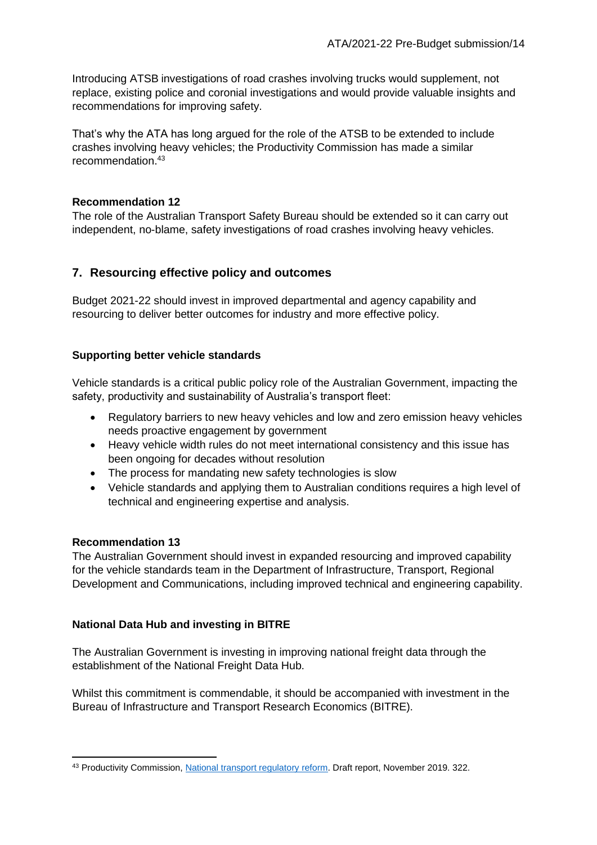Introducing ATSB investigations of road crashes involving trucks would supplement, not replace, existing police and coronial investigations and would provide valuable insights and recommendations for improving safety.

That's why the ATA has long argued for the role of the ATSB to be extended to include crashes involving heavy vehicles; the Productivity Commission has made a similar recommendation.<sup>43</sup>

# **Recommendation 12**

The role of the Australian Transport Safety Bureau should be extended so it can carry out independent, no-blame, safety investigations of road crashes involving heavy vehicles.

# **7. Resourcing effective policy and outcomes**

Budget 2021-22 should invest in improved departmental and agency capability and resourcing to deliver better outcomes for industry and more effective policy.

# **Supporting better vehicle standards**

Vehicle standards is a critical public policy role of the Australian Government, impacting the safety, productivity and sustainability of Australia's transport fleet:

- Regulatory barriers to new heavy vehicles and low and zero emission heavy vehicles needs proactive engagement by government
- Heavy vehicle width rules do not meet international consistency and this issue has been ongoing for decades without resolution
- The process for mandating new safety technologies is slow
- Vehicle standards and applying them to Australian conditions requires a high level of technical and engineering expertise and analysis.

# **Recommendation 13**

The Australian Government should invest in expanded resourcing and improved capability for the vehicle standards team in the Department of Infrastructure, Transport, Regional Development and Communications, including improved technical and engineering capability.

# **National Data Hub and investing in BITRE**

The Australian Government is investing in improving national freight data through the establishment of the National Freight Data Hub.

Whilst this commitment is commendable, it should be accompanied with investment in the Bureau of Infrastructure and Transport Research Economics (BITRE).

<sup>43</sup> Productivity Commission[, National transport regulatory reform.](https://www.pc.gov.au/inquiries/current/transport/draft/transport-draft.pdf) Draft report, November 2019. 322.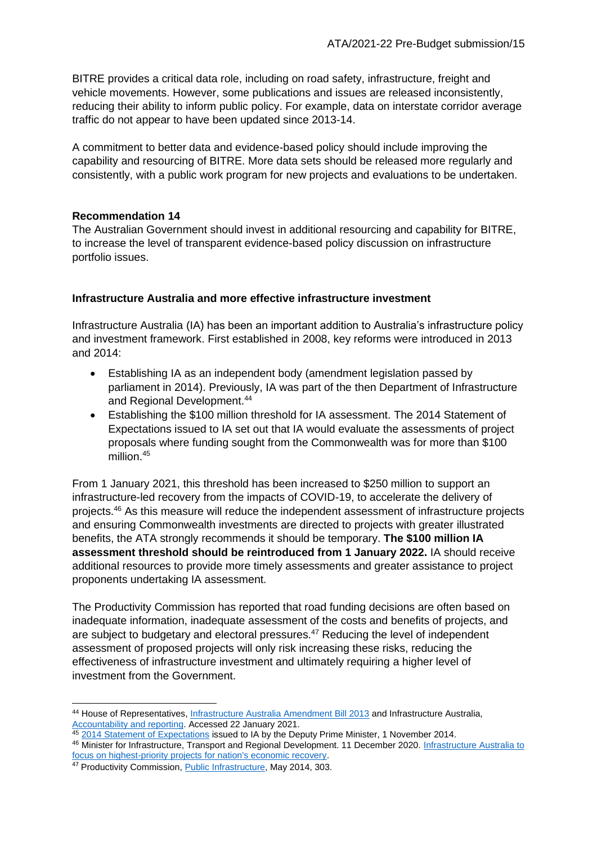BITRE provides a critical data role, including on road safety, infrastructure, freight and vehicle movements. However, some publications and issues are released inconsistently, reducing their ability to inform public policy. For example, data on interstate corridor average traffic do not appear to have been updated since 2013-14.

A commitment to better data and evidence-based policy should include improving the capability and resourcing of BITRE. More data sets should be released more regularly and consistently, with a public work program for new projects and evaluations to be undertaken.

# **Recommendation 14**

The Australian Government should invest in additional resourcing and capability for BITRE, to increase the level of transparent evidence-based policy discussion on infrastructure portfolio issues.

# **Infrastructure Australia and more effective infrastructure investment**

Infrastructure Australia (IA) has been an important addition to Australia's infrastructure policy and investment framework. First established in 2008, key reforms were introduced in 2013 and 2014:

- Establishing IA as an independent body (amendment legislation passed by parliament in 2014). Previously, IA was part of the then Department of Infrastructure and Regional Development.<sup>44</sup>
- Establishing the \$100 million threshold for IA assessment. The 2014 Statement of Expectations issued to IA set out that IA would evaluate the assessments of project proposals where funding sought from the Commonwealth was for more than \$100 million.<sup>45</sup>

From 1 January 2021, this threshold has been increased to \$250 million to support an infrastructure-led recovery from the impacts of COVID-19, to accelerate the delivery of projects.<sup>46</sup> As this measure will reduce the independent assessment of infrastructure projects and ensuring Commonwealth investments are directed to projects with greater illustrated benefits, the ATA strongly recommends it should be temporary. **The \$100 million IA assessment threshold should be reintroduced from 1 January 2022.** IA should receive additional resources to provide more timely assessments and greater assistance to project proponents undertaking IA assessment.

The Productivity Commission has reported that road funding decisions are often based on inadequate information, inadequate assessment of the costs and benefits of projects, and are subject to budgetary and electoral pressures.<sup>47</sup> Reducing the level of independent assessment of proposed projects will only risk increasing these risks, reducing the effectiveness of infrastructure investment and ultimately requiring a higher level of investment from the Government.

<sup>44</sup> House of Representatives[, Infrastructure Australia Amendment Bill 2013](https://www.aph.gov.au/Parliamentary_Business/Bills_Legislation/Bills_Search_Results/Result?bId=r5152) and Infrastructure Australia, [Accountability and reporting.](https://www.infrastructureaustralia.gov.au/about/accountability-and-reporting) Accessed 22 January 2021.

<sup>45</sup> [2014 Statement of Expectations](https://www.infrastructureaustralia.gov.au/sites/default/files/2019-07/185568doc_minister_truss_statement_of_expectations_for_the_board_of_infrastructure_australia_2014-15_2.pdf) issued to IA by the Deputy Prime Minister, 1 November 2014.

<sup>46</sup> Minister for Infrastructure, Transport and Regional Development. 11 December 2020. Infrastructure Australia to [focus on highest-priority projects for nation's economic recovery.](https://minister.infrastructure.gov.au/mccormack/media-release/infrastructure-australia-focus-highest-priority-projects-nations-economic-recovery)

<sup>47</sup> Productivity Commission, [Public Infrastructure,](http://www.pc.gov.au/inquiries/completed/infrastructure/report) May 2014, 303.